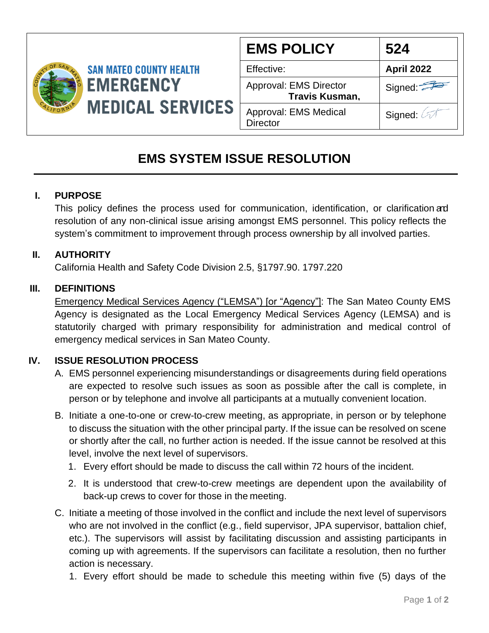

| <b>EMS POLICY</b>                                      | 524                   |
|--------------------------------------------------------|-----------------------|
| Effective:                                             | <b>April 2022</b>     |
| <b>Approval: EMS Director</b><br><b>Travis Kusman,</b> | Signed:               |
| Approval: EMS Medical<br><b>Director</b>               | Signed: $\oslash\top$ |
|                                                        |                       |

# **EMS SYSTEM ISSUE RESOLUTION**

## **I. PURPOSE**

This policy defines the process used for communication, identification, or clarification and resolution of any non-clinical issue arising amongst EMS personnel. This policy reflects the system's commitment to improvement through process ownership by all involved parties.

#### **II. AUTHORITY**

California Health and Safety Code Division 2.5, §1797.90. 1797.220

#### **III. DEFINITIONS**

Emergency Medical Services Agency ("LEMSA") [or "Agency"]: The San Mateo County EMS Agency is designated as the Local Emergency Medical Services Agency (LEMSA) and is statutorily charged with primary responsibility for administration and medical control of emergency medical services in San Mateo County.

### **IV. ISSUE RESOLUTION PROCESS**

- A. EMS personnel experiencing misunderstandings or disagreements during field operations are expected to resolve such issues as soon as possible after the call is complete, in person or by telephone and involve all participants at a mutually convenient location.
- B. Initiate a one-to-one or crew-to-crew meeting, as appropriate, in person or by telephone to discuss the situation with the other principal party. If the issue can be resolved on scene or shortly after the call, no further action is needed. If the issue cannot be resolved at this level, involve the next level of supervisors.
	- 1. Every effort should be made to discuss the call within 72 hours of the incident.
	- 2. It is understood that crew-to-crew meetings are dependent upon the availability of back-up crews to cover for those in the meeting.
- C. Initiate a meeting of those involved in the conflict and include the next level of supervisors who are not involved in the conflict (e.g., field supervisor, JPA supervisor, battalion chief, etc.). The supervisors will assist by facilitating discussion and assisting participants in coming up with agreements. If the supervisors can facilitate a resolution, then no further action is necessary.
	- 1. Every effort should be made to schedule this meeting within five (5) days of the